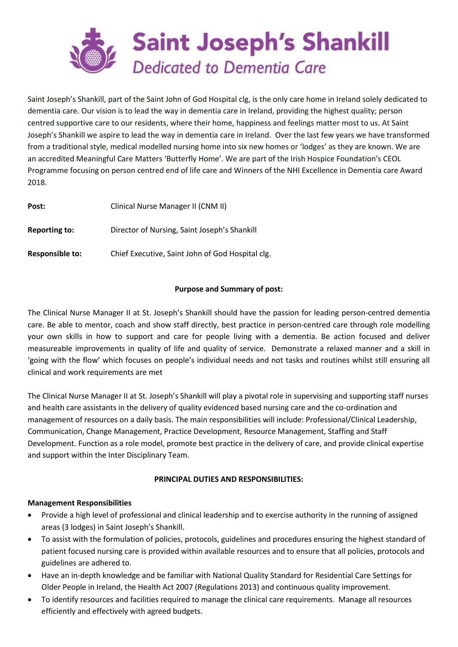

Saint Joseph's Shankill, part of the Saint John of God Hospital clg, is the only care home in Ireland solely dedicated to dementia care. Our vision is to lead the way in dementia care in Ireland, providing the highest quality; person centred supportive care to our residents, where their home, happiness and feelings matter most to us. At Saint Joseph's Shankill we aspire to lead the way in dementia care in Ireland. Over the last few years we have transformed from a traditional style, medical modelled nursing home into six new homes or 'lodges' as they are known. We are an accredited Meaningful Care Matters 'Butterfly Home'. We are part of the Irish Hospice Foundation's CEOL Programme focusing on person centred end of life care and Winners of the NHI Excellence in Dementia care Award 2018.

| Post:                  | Clinical Nurse Manager II (CNM II)               |
|------------------------|--------------------------------------------------|
| <b>Reporting to:</b>   | Director of Nursing, Saint Joseph's Shankill     |
| <b>Responsible to:</b> | Chief Executive, Saint John of God Hospital clg. |

# **Purpose and Summary of post:**

The Clinical Nurse Manager II at St. Joseph's Shankill should have the passion for leading person-centred dementia care. Be able to mentor, coach and show staff directly, best practice in person-centred care through role modelling your own skills in how to support and care for people living with a dementia. Be action focused and deliver measureable improvements in quality of life and quality of service. Demonstrate a relaxed manner and a skill in 'going with the flow' which focuses on people's individual needs and not tasks and routines whilst still ensuring all clinical and work requirements are met

The Clinical Nurse Manager II at St. Joseph's Shankill will play a pivotal role in supervising and supporting staff nurses and health care assistants in the delivery of quality evidenced based nursing care and the co-ordination and management of resources on a daily basis. The main responsibilities will include: Professional/Clinical Leadership, Communication, Change Management, Practice Development, Resource Management, Staffing and Staff Development. Function as a role model, promote best practice in the delivery of care, and provide clinical expertise and support within the Inter Disciplinary Team.

# **PRINCIPAL DUTIES AND RESPONSIBILITIES:**

# **Management Responsibilities**

- Provide a high level of professional and clinical leadership and to exercise authority in the running of assigned areas (3 lodges) in Saint Joseph's Shankill.
- To assist with the formulation of policies, protocols, guidelines and procedures ensuring the highest standard of patient focused nursing care is provided within available resources and to ensure that all policies, protocols and guidelines are adhered to.
- Have an in-depth knowledge and be familiar with National Quality Standard for Residential Care Settings for Older People in Ireland, the Health Act 2007 (Regulations 2013) and continuous quality improvement.
- To identify resources and facilities required to manage the clinical care requirements. Manage all resources efficiently and effectively with agreed budgets.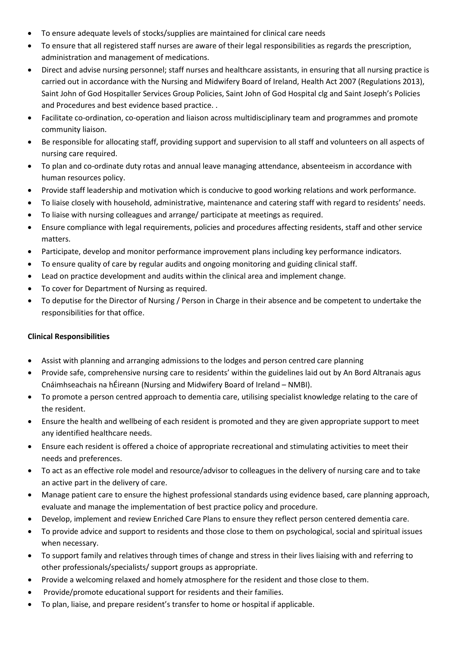- To ensure adequate levels of stocks/supplies are maintained for clinical care needs
- To ensure that all registered staff nurses are aware of their legal responsibilities as regards the prescription, administration and management of medications.
- Direct and advise nursing personnel; staff nurses and healthcare assistants, in ensuring that all nursing practice is carried out in accordance with the Nursing and Midwifery Board of Ireland, Health Act 2007 (Regulations 2013), Saint John of God Hospitaller Services Group Policies, Saint John of God Hospital clg and Saint Joseph's Policies and Procedures and best evidence based practice. .
- Facilitate co-ordination, co-operation and liaison across multidisciplinary team and programmes and promote community liaison.
- Be responsible for allocating staff, providing support and supervision to all staff and volunteers on all aspects of nursing care required.
- To plan and co-ordinate duty rotas and annual leave managing attendance, absenteeism in accordance with human resources policy.
- Provide staff leadership and motivation which is conducive to good working relations and work performance.
- To liaise closely with household, administrative, maintenance and catering staff with regard to residents' needs.
- To liaise with nursing colleagues and arrange/ participate at meetings as required.
- Ensure compliance with legal requirements, policies and procedures affecting residents, staff and other service matters.
- Participate, develop and monitor performance improvement plans including key performance indicators.
- To ensure quality of care by regular audits and ongoing monitoring and guiding clinical staff.
- Lead on practice development and audits within the clinical area and implement change.
- To cover for Department of Nursing as required.
- To deputise for the Director of Nursing / Person in Charge in their absence and be competent to undertake the responsibilities for that office.

# **Clinical Responsibilities**

- Assist with planning and arranging admissions to the lodges and person centred care planning
- Provide safe, comprehensive nursing care to residents' within the guidelines laid out by An Bord Altranais agus Cnáimhseachais na hÉireann (Nursing and Midwifery Board of Ireland – NMBI).
- To promote a person centred approach to dementia care, utilising specialist knowledge relating to the care of the resident.
- Ensure the health and wellbeing of each resident is promoted and they are given appropriate support to meet any identified healthcare needs.
- Ensure each resident is offered a choice of appropriate recreational and stimulating activities to meet their needs and preferences.
- To act as an effective role model and resource/advisor to colleagues in the delivery of nursing care and to take an active part in the delivery of care.
- Manage patient care to ensure the highest professional standards using evidence based, care planning approach, evaluate and manage the implementation of best practice policy and procedure.
- Develop, implement and review Enriched Care Plans to ensure they reflect person centered dementia care.
- To provide advice and support to residents and those close to them on psychological, social and spiritual issues when necessary.
- To support family and relatives through times of change and stress in their lives liaising with and referring to other professionals/specialists/ support groups as appropriate.
- Provide a welcoming relaxed and homely atmosphere for the resident and those close to them.
- Provide/promote educational support for residents and their families.
- To plan, liaise, and prepare resident's transfer to home or hospital if applicable.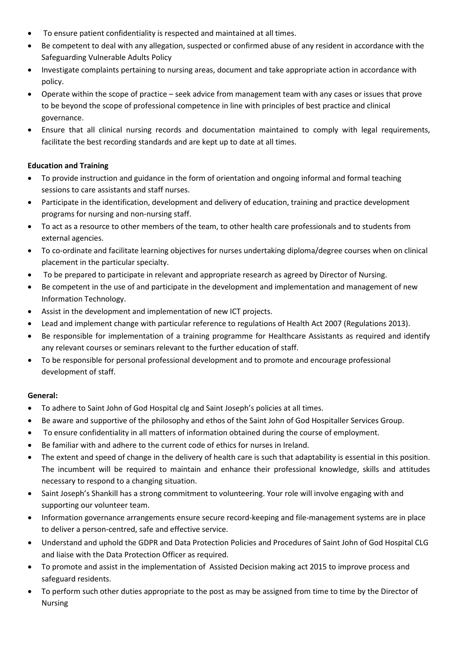- To ensure patient confidentiality is respected and maintained at all times.
- Be competent to deal with any allegation, suspected or confirmed abuse of any resident in accordance with the Safeguarding Vulnerable Adults Policy
- Investigate complaints pertaining to nursing areas, document and take appropriate action in accordance with policy.
- Operate within the scope of practice seek advice from management team with any cases or issues that prove to be beyond the scope of professional competence in line with principles of best practice and clinical governance.
- Ensure that all clinical nursing records and documentation maintained to comply with legal requirements, facilitate the best recording standards and are kept up to date at all times.

# **Education and Training**

- To provide instruction and guidance in the form of orientation and ongoing informal and formal teaching sessions to care assistants and staff nurses.
- Participate in the identification, development and delivery of education, training and practice development programs for nursing and non-nursing staff.
- To act as a resource to other members of the team, to other health care professionals and to students from external agencies.
- To co-ordinate and facilitate learning objectives for nurses undertaking diploma/degree courses when on clinical placement in the particular specialty.
- To be prepared to participate in relevant and appropriate research as agreed by Director of Nursing.
- Be competent in the use of and participate in the development and implementation and management of new Information Technology.
- Assist in the development and implementation of new ICT projects.
- Lead and implement change with particular reference to regulations of Health Act 2007 (Regulations 2013).
- Be responsible for implementation of a training programme for Healthcare Assistants as required and identify any relevant courses or seminars relevant to the further education of staff.
- To be responsible for personal professional development and to promote and encourage professional development of staff.

# **General:**

- To adhere to Saint John of God Hospital clg and Saint Joseph's policies at all times.
- Be aware and supportive of the philosophy and ethos of the Saint John of God Hospitaller Services Group.
- To ensure confidentiality in all matters of information obtained during the course of employment.
- Be familiar with and adhere to the current code of ethics for nurses in Ireland.
- The extent and speed of change in the delivery of health care is such that adaptability is essential in this position. The incumbent will be required to maintain and enhance their professional knowledge, skills and attitudes necessary to respond to a changing situation.
- Saint Joseph's Shankill has a strong commitment to volunteering. Your role will involve engaging with and supporting our volunteer team.
- Information governance arrangements ensure secure record-keeping and file-management systems are in place to deliver a person-centred, safe and effective service.
- Understand and uphold the GDPR and Data Protection Policies and Procedures of Saint John of God Hospital CLG and liaise with the Data Protection Officer as required.
- To promote and assist in the implementation of Assisted Decision making act 2015 to improve process and safeguard residents.
- To perform such other duties appropriate to the post as may be assigned from time to time by the Director of Nursing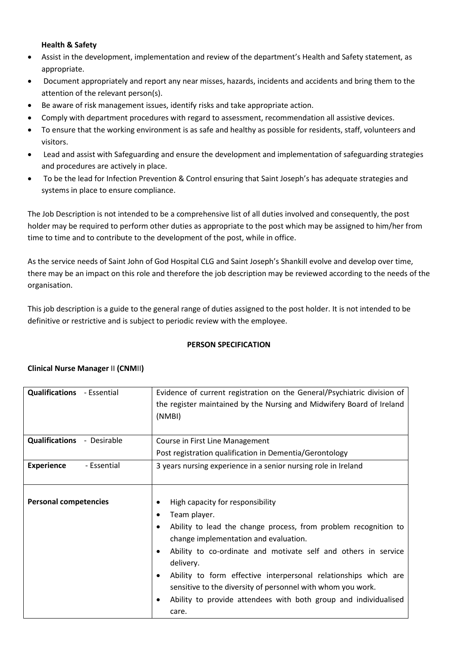## **Health & Safety**

- Assist in the development, implementation and review of the department's Health and Safety statement, as appropriate.
- Document appropriately and report any near misses, hazards, incidents and accidents and bring them to the attention of the relevant person(s).
- Be aware of risk management issues, identify risks and take appropriate action.
- Comply with department procedures with regard to assessment, recommendation all assistive devices.
- To ensure that the working environment is as safe and healthy as possible for residents, staff, volunteers and visitors.
- Lead and assist with Safeguarding and ensure the development and implementation of safeguarding strategies and procedures are actively in place.
- To be the lead for Infection Prevention & Control ensuring that Saint Joseph's has adequate strategies and systems in place to ensure compliance.

The Job Description is not intended to be a comprehensive list of all duties involved and consequently, the post holder may be required to perform other duties as appropriate to the post which may be assigned to him/her from time to time and to contribute to the development of the post, while in office.

As the service needs of Saint John of God Hospital CLG and Saint Joseph's Shankill evolve and develop over time, there may be an impact on this role and therefore the job description may be reviewed according to the needs of the organisation.

This job description is a guide to the general range of duties assigned to the post holder. It is not intended to be definitive or restrictive and is subject to periodic review with the employee.

### **PERSON SPECIFICATION**

### **Clinical Nurse Manager** II **(CNM**II**)**

| <b>Qualifications</b> - Essential | Evidence of current registration on the General/Psychiatric division of<br>the register maintained by the Nursing and Midwifery Board of Ireland<br>(NMBI)                                                                                                                                                                                                                                                                                                               |
|-----------------------------------|--------------------------------------------------------------------------------------------------------------------------------------------------------------------------------------------------------------------------------------------------------------------------------------------------------------------------------------------------------------------------------------------------------------------------------------------------------------------------|
| <b>Qualifications - Desirable</b> | Course in First Line Management<br>Post registration qualification in Dementia/Gerontology                                                                                                                                                                                                                                                                                                                                                                               |
| <b>Experience</b><br>- Essential  | 3 years nursing experience in a senior nursing role in Ireland                                                                                                                                                                                                                                                                                                                                                                                                           |
| <b>Personal competencies</b>      | High capacity for responsibility<br>Team player.<br>٠<br>Ability to lead the change process, from problem recognition to<br>change implementation and evaluation.<br>Ability to co-ordinate and motivate self and others in service<br>delivery.<br>Ability to form effective interpersonal relationships which are<br>٠<br>sensitive to the diversity of personnel with whom you work.<br>Ability to provide attendees with both group and individualised<br>٠<br>care. |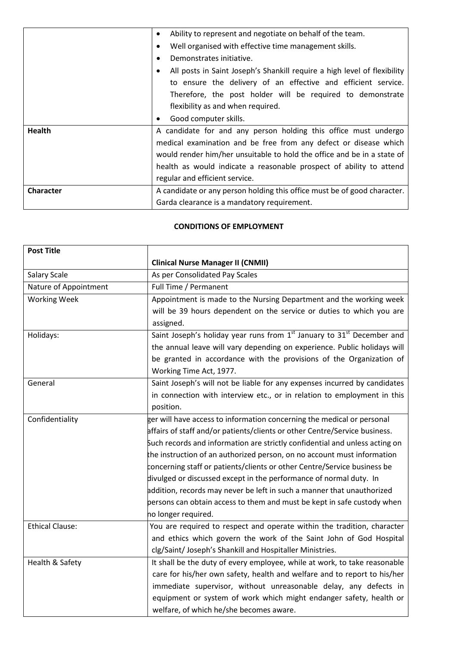|                  | Ability to represent and negotiate on behalf of the team.<br>$\bullet$        |
|------------------|-------------------------------------------------------------------------------|
|                  | Well organised with effective time management skills.<br>٠                    |
|                  | Demonstrates initiative.<br>٠                                                 |
|                  | All posts in Saint Joseph's Shankill require a high level of flexibility<br>٠ |
|                  | to ensure the delivery of an effective and efficient service.                 |
|                  | Therefore, the post holder will be required to demonstrate                    |
|                  | flexibility as and when required.                                             |
|                  | Good computer skills.<br>٠                                                    |
| <b>Health</b>    | A candidate for and any person holding this office must undergo               |
|                  | medical examination and be free from any defect or disease which              |
|                  | would render him/her unsuitable to hold the office and be in a state of       |
|                  | health as would indicate a reasonable prospect of ability to attend           |
|                  | regular and efficient service.                                                |
| <b>Character</b> | A candidate or any person holding this office must be of good character.      |
|                  | Garda clearance is a mandatory requirement.                                   |

## **CONDITIONS OF EMPLOYMENT**

| <b>Post Title</b>      |                                                                                                |
|------------------------|------------------------------------------------------------------------------------------------|
|                        | <b>Clinical Nurse Manager II (CNMII)</b>                                                       |
| Salary Scale           | As per Consolidated Pay Scales                                                                 |
| Nature of Appointment  | Full Time / Permanent                                                                          |
| <b>Working Week</b>    | Appointment is made to the Nursing Department and the working week                             |
|                        | will be 39 hours dependent on the service or duties to which you are                           |
|                        | assigned.                                                                                      |
| Holidays:              | Saint Joseph's holiday year runs from 1 <sup>st</sup> January to 31 <sup>st</sup> December and |
|                        | the annual leave will vary depending on experience. Public holidays will                       |
|                        | be granted in accordance with the provisions of the Organization of                            |
|                        | Working Time Act, 1977.                                                                        |
| General                | Saint Joseph's will not be liable for any expenses incurred by candidates                      |
|                        | in connection with interview etc., or in relation to employment in this                        |
|                        | position.                                                                                      |
| Confidentiality        | ger will have access to information concerning the medical or personal                         |
|                        | affairs of staff and/or patients/clients or other Centre/Service business.                     |
|                        | Such records and information are strictly confidential and unless acting on                    |
|                        | the instruction of an authorized person, on no account must information                        |
|                        | concerning staff or patients/clients or other Centre/Service business be                       |
|                        | divulged or discussed except in the performance of normal duty. In                             |
|                        | addition, records may never be left in such a manner that unauthorized                         |
|                        | persons can obtain access to them and must be kept in safe custody when                        |
|                        | no longer required.                                                                            |
| <b>Ethical Clause:</b> | You are required to respect and operate within the tradition, character                        |
|                        | and ethics which govern the work of the Saint John of God Hospital                             |
|                        | clg/Saint/ Joseph's Shankill and Hospitaller Ministries.                                       |
| Health & Safety        | It shall be the duty of every employee, while at work, to take reasonable                      |
|                        | care for his/her own safety, health and welfare and to report to his/her                       |
|                        | immediate supervisor, without unreasonable delay, any defects in                               |
|                        | equipment or system of work which might endanger safety, health or                             |
|                        | welfare, of which he/she becomes aware.                                                        |